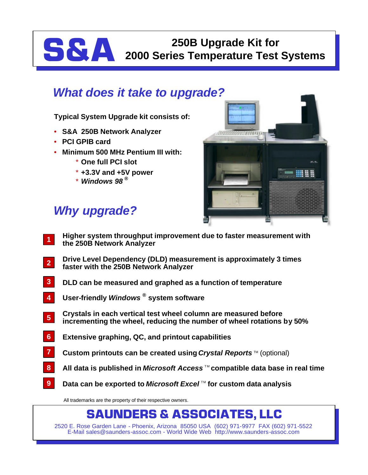# **S&A 250B Upgrade Kit for 2000 Series Temperature Test Systems**

### *What does it take to upgrade?*

**Typical System Upgrade kit consists of:**

- **S&A 250B Network Analyzer**
- **PCI GPIB card**
- **Minimum 500 MHz Pentium III with:**
	- \* **One full PCI slot**
	- \* **+3.3V and +5V power**
	- \* *Windows 98 ®*

# *Why upgrade?*

- **EILDILLI** A 8
- **Higher system throughput improvement due to faster measurement with the 250B Network Analyzer 1**
- **Drive Level Dependency (DLD) measurement is approximately 3 times faster with the 250B Network Analyzer 2**
- **DLD can be measured and graphed as a function of temperature 3**
- **User-friendly** *Windows ®* **system software 4**
- **Crystals in each vertical test wheel column are measured before incrementing the wheel, reducing the number of wheel rotations by 50% 5**
- **Extensive graphing, QC, and printout capabilities 6**
- **Custom printouts can be created using** *Crystal Reports* ™ (optional) **7**
- All data is published in *Microsoft Access*™ compatible data base in real time **8**
- **Data can be exported to** *Microsoft Excel* **™ for custom data analysis 9**

All trademarks are the property of their respective owners.

## **SAUNDERS & ASSOCIATES, LLC**

2520 E. Rose Garden Lane - Phoenix, Arizona 85050 USA (602) 971-9977 FAX (602) 971-5522 E-Mail sales@saunders-assoc.com - World Wide Web http://www.saunders-assoc.com